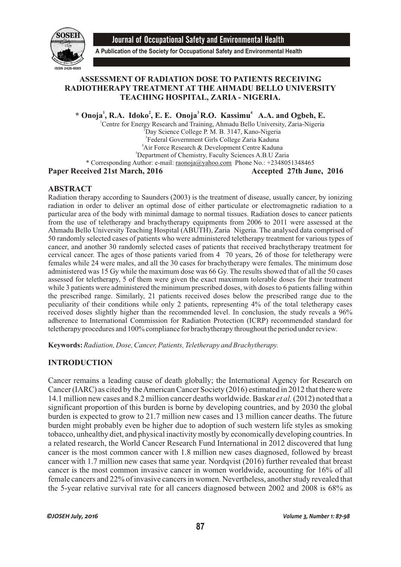

Journal of Occupational Safety and Environmental Health

**A Publication of the Society for Occupational Safety and Environmental Health**

## **ASSESSMENT OF RADIATION DOSE TO PATIENTS RECEIVING RADIOTHERAPY TREATMENT AT THE AHMADU BELLO UNIVERSITY TEACHING HOSPITAL, ZARIA - NIGERIA.**

 $*$  **Onoja**<sup>1</sup>, R.A. Idoko<sup>2</sup>, E. E. Onoja<sup>3</sup> R.O. Kassimu<sup>4</sup> A.A. and Ogbeh, E.

<sup>1</sup>Centre for Energy Research and Training, Ahmadu Bello University, Zaria-Nigeria

<sup>2</sup>Day Science College P. M. B. 3147, Kano-Nigeria

3 Federal Government Girls College Zaria Kaduna

<sup>4</sup>Air Force Research & Development Centre Kaduna

<sup>5</sup>Department of Chemistry, Faculty Sciences A.B.U Zaria \* Corresponding Author: e-mail: raonoja@yahoo.com Phone No.: +2348051348465

Paper Received 21st March, 2016 **Accepted 27th June**, 2016

### **ABSTRACT**

Radiation therapy according to Saunders (2003) is the treatment of disease, usually cancer, by ionizing radiation in order to deliver an optimal dose of either particulate or electromagnetic radiation to a particular area of the body with minimal damage to normal tissues. Radiation doses to cancer patients from the use of teletherapy and brachytherapy equipments from 2006 to 2011 were assessed at the Ahmadu Bello University Teaching Hospital (ABUTH), Zaria Nigeria. The analysed data comprised of 50 randomly selected cases of patients who were administered teletherapy treatment for various types of cancer, and another 30 randomly selected cases of patients that received brachytherapy treatment for cervical cancer. The ages of those patients varied from 4 70 years, 26 of those for teletherapy were females while 24 were males, and all the 30 cases for brachytherapy were females. The minimum dose administered was 15 Gy while the maximum dose was 66 Gy. The results showed that of all the 50 cases assessed for teletherapy, 5 of them were given the exact maximum tolerable doses for their treatment while 3 patients were administered the minimum prescribed doses, with doses to 6 patients falling within the prescribed range. Similarly, 21 patients received doses below the prescribed range due to the peculiarity of their conditions while only 2 patients, representing 4% of the total teletherapy cases received doses slightly higher than the recommended level. In conclusion, the study reveals a 96% adherence to International Commission for Radiation Protection (ICRP) recommended standard for teletherapy procedures and 100% compliance for brachytherapy throughout the period under review.

**Keywords:** *Radiation, Dose, Cancer, Patients, Teletherapy and Brachytherapy.*

## **INTRODUCTION**

Cancer remains a leading cause of death globally; the International Agency for Research on Cancer (IARC) as cited by the American Cancer Society (2016) estimated in 2012 that there were 14.1 million new cases and 8.2 million cancer deaths worldwide. Baskar *et al.* (2012) noted that a significant proportion of this burden is borne by developing countries, and by 2030 the global burden is expected to grow to 21.7 million new cases and 13 million cancer deaths. The future burden might probably even be higher due to adoption of such western life styles as smoking tobacco, unhealthy diet, and physical inactivity mostly by economically developing countries. In a related research, the World Cancer Research Fund International in 2012 discovered that lung cancer is the most common cancer with 1.8 million new cases diagnosed, followed by breast cancer with 1.7 million new cases that same year. Nordqvist (2016) further revealed that breast cancer is the most common invasive cancer in women worldwide, accounting for 16% of all female cancers and 22% of invasive cancers in women. Nevertheless, another study revealed that the 5-year relative survival rate for all cancers diagnosed between 2002 and 2008 is 68% as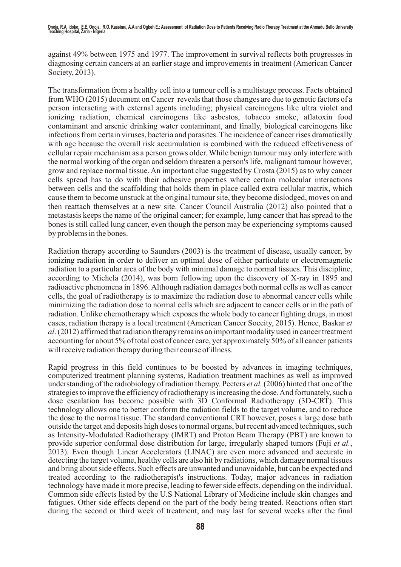against 49% between 1975 and 1977. The improvement in survival reflects both progresses in diagnosing certain cancers at an earlier stage and improvements in treatment (American Cancer Society, 2013).

The transformation from a healthy cell into a tumour cell is a multistage process. Facts obtained from WHO (2015) document on Cancer reveals that those changes are due to genetic factors of a person interacting with external agents including; physical carcinogens like ultra violet and ionizing radiation, chemical carcinogens like asbestos, tobacco smoke, aflatoxin food contaminant and arsenic drinking water contaminant, and finally, biological carcinogens like infections from certain viruses, bacteria and parasites. The incidence of cancer rises dramatically with age because the overall risk accumulation is combined with the reduced effectiveness of cellular repair mechanism as a person grows older. While benign tumour may only interfere with the normal working of the organ and seldom threaten a person's life, malignant tumour however, grow and replace normal tissue. An important clue suggested by Crosta (2015) as to why cancer cells spread has to do with their adhesive properties where certain molecular interactions between cells and the scaffolding that holds them in place called extra cellular matrix, which cause them to become unstuck at the original tumour site, they become dislodged, moves on and then reattach themselves at a new site. Cancer Council Australia (2012) also pointed that a metastasis keeps the name of the original cancer; for example, lung cancer that has spread to the bones is still called lung cancer, even though the person may be experiencing symptoms caused by problems in the bones.

Radiation therapy according to Saunders (2003) is the treatment of disease, usually cancer, by ionizing radiation in order to deliver an optimal dose of either particulate or electromagnetic radiation to a particular area of the body with minimal damage to normal tissues. This discipline, according to Michela (2014), was born following upon the discovery of X-ray in 1895 and radioactive phenomena in 1896. Although radiation damages both normal cells as well as cancer cells, the goal of radiotherapy is to maximize the radiation dose to abnormal cancer cells while minimizing the radiation dose to normal cells which are adjacent to cancer cells or in the path of radiation. Unlike chemotherapy which exposes the whole body to cancer fighting drugs, in most cases, radiation therapy is a local treatment (American Cancer Soceity, 2015). Hence, Baskar *et al*. (2012) affirmed that radiation therapy remains an important modality used in cancer treatment accounting for about 5% of total cost of cancer care, yet approximately 50% of all cancer patients will receive radiation therapy during their course of illness.

Rapid progress in this field continues to be boosted by advances in imaging techniques, computerized treatment planning systems, Radiation treatment machines as well as improved understanding of the radiobiology of radiation therapy. Peeters *et al.* (2006) hinted that one of the strategies to improve the efficiency of radiotherapy is increasing the dose. And fortunately, such a dose escalation has become possible with 3D Conformal Radiotherapy (3D-CRT). This technology allows one to better conform the radiation fields to the target volume, and to reduce the dose to the normal tissue. The standard conventional CRT however, poses a large dose bath outside the target and deposits high doses to normal organs, but recent advanced techniques, such as Intensity-Modulated Radiotherapy (IMRT) and Proton Beam Therapy (PBT) are known to provide superior conformal dose distribution for large, irregularly shaped tumors (Fuji *et al.*, 2013). Even though Linear Accelerators (LINAC) are even more advanced and accurate in detecting the target volume, healthy cells are also hit by radiations, which damage normal tissues and bring about side effects. Such effects are unwanted and unavoidable, but can be expected and treated according to the radiotherapist's instructions. Today, major advances in radiation technology have made it more precise, leading to fewer side effects, depending on the individual. Common side effects listed by the U.S National Library of Medicine include skin changes and fatigues. Other side effects depend on the part of the body being treated. Reactions often start during the second or third week of treatment, and may last for several weeks after the final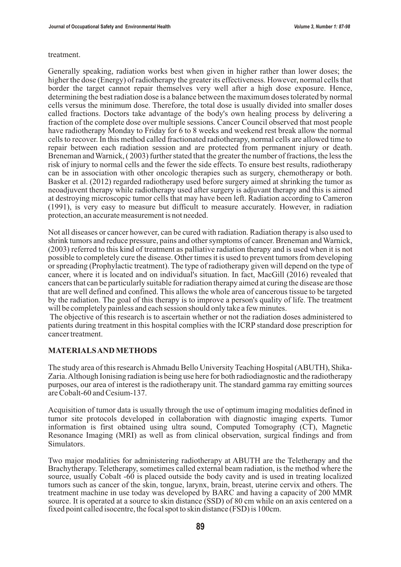#### treatment.

Generally speaking, radiation works best when given in higher rather than lower doses; the higher the dose (Energy) of radiotherapy the greater its effectiveness. However, normal cells that border the target cannot repair themselves very well after a high dose exposure. Hence, determining the best radiation dose is a balance between the maximum doses tolerated by normal cells versus the minimum dose. Therefore, the total dose is usually divided into smaller doses called fractions. Doctors take advantage of the body's own healing process by delivering a fraction of the complete dose over multiple sessions. Cancer Council observed that most people have radiotherapy Monday to Friday for 6 to 8 weeks and weekend rest break allow the normal cells to recover. In this method called fractionated radiotherapy, normal cells are allowed time to repair between each radiation session and are protected from permanent injury or death. Breneman and Warnick, ( 2003) further stated that the greater the number of fractions, the less the risk of injury to normal cells and the fewer the side effects. To ensure best results, radiotherapy can be in association with other oncologic therapies such as surgery, chemotherapy or both. Basker et al. (2012) regarded radiotherapy used before surgery aimed at shrinking the tumor as neoadjuvent therapy while radiotherapy used after surgery is adjuvant therapy and this is aimed at destroying microscopic tumor cells that may have been left. Radiation according to Cameron (1991), is very easy to measure but difficult to measure accurately. However, in radiation protection, an accurate measurement is not needed.

Not all diseases or cancer however, can be cured with radiation. Radiation therapy is also used to shrink tumors and reduce pressure, pains and other symptoms of cancer. Breneman and Warnick, (2003) referred to this kind of treatment as palliative radiation therapy and is used when it is not possible to completely cure the disease. Other times it is used to prevent tumors from developing or spreading (Prophylactic treatment). The type of radiotherapy given will depend on the type of cancer, where it is located and on individual's situation. In fact, MacGill (2016) revealed that cancers that can be particularly suitable for radiation therapy aimed at curing the disease are those that are well defined and confined. This allows the whole area of cancerous tissue to be targeted by the radiation. The goal of this therapy is to improve a person's quality of life. The treatment will be completely painless and each session should only take a few minutes.

The objective of this research is to ascertain whether or not the radiation doses administered to patients during treatment in this hospital complies with the ICRP standard dose prescription for cancer treatment.

#### **MATERIALS AND METHODS**

The study area of this research is Ahmadu Bello University Teaching Hospital (ABUTH), Shika-Zaria. Although Ionising radiation is being use here for both radiodiagnostic and the radiotherapy purposes, our area of interest is the radiotherapy unit. The standard gamma ray emitting sources are Cobalt-60 and Cesium-137.

Acquisition of tumor data is usually through the use of optimum imaging modalities defined in tumor site protocols developed in collaboration with diagnostic imaging experts. Tumor information is first obtained using ultra sound, Computed Tomography (CT), Magnetic Resonance Imaging (MRI) as well as from clinical observation, surgical findings and from Simulators.

Two major modalities for administering radiotherapy at ABUTH are the Teletherapy and the Brachytherapy. Teletherapy, sometimes called external beam radiation, is the method where the source, usually Cobalt -60 is placed outside the body cavity and is used in treating localized tumors such as cancer of the skin, tongue, larynx, brain, breast, uterine cervix and others. The treatment machine in use today was developed by BARC and having a capacity of 200 MMR source. It is operated at a source to skin distance (SSD) of 80 cm while on an axis centered on a fixed point called isocentre, the focal spot to skin distance (FSD) is 100cm.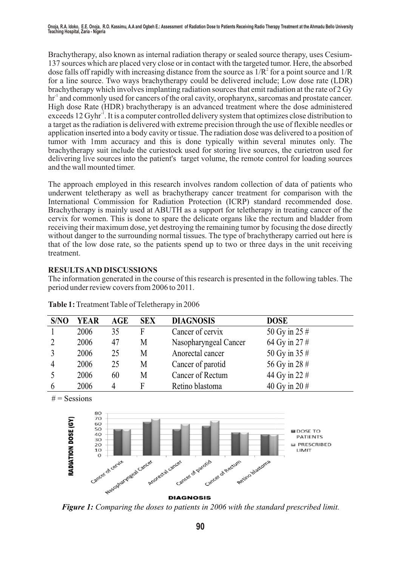Brachytherapy, also known as internal radiation therapy or sealed source therapy, uses Cesium-137 sources which are placed very close or in contact with the targeted tumor. Here, the absorbed dose falls off rapidly with increasing distance from the source as  $1/R<sup>2</sup>$  for a point source and  $1/R$ for a line source. Two ways brachytherapy could be delivered include; Low dose rate (LDR) brachytherapy which involves implanting radiation sources that emit radiation at the rate of 2 Gy  $\text{hr}^1$  and commonly used for cancers of the oral cavity, oropharynx, sarcomas and prostate cancer. High dose Rate (HDR) brachytherapy is an advanced treatment where the dose administered exceeds 12 Gyhr<sup>1</sup>. It is a computer controlled delivery system that optimizes close distribution to a target as the radiation is delivered with extreme precision through the use of flexible needles or application inserted into a body cavity or tissue. The radiation dose was delivered to a position of tumor with 1mm accuracy and this is done typically within several minutes only. The brachytherapy suit include the curiestock used for storing live sources, the curietron used for delivering live sources into the patient's target volume, the remote control for loading sources and the wall mounted timer.

The approach employed in this research involves random collection of data of patients who underwent teletherapy as well as brachytherapy cancer treatment for comparison with the International Commission for Radiation Protection (ICRP) standard recommended dose. Brachytherapy is mainly used at ABUTH as a support for teletherapy in treating cancer of the cervix for women. This is done to spare the delicate organs like the rectum and bladder from receiving their maximum dose, yet destroying the remaining tumor by focusing the dose directly without danger to the surrounding normal tissues. The type of brachytherapy carried out here is that of the low dose rate, so the patients spend up to two or three days in the unit receiving treatment.

# **RESULTS AND DISCUSSIONS**

The information generated in the course of this research is presented in the following tables. The period under review covers from 2006 to 2011.

| S/NO | <b>YEAR</b> | <b>AGE</b> | <b>SEX</b> | <b>DIAGNOSIS</b>      | <b>DOSE</b>     |
|------|-------------|------------|------------|-----------------------|-----------------|
|      | 2006        | 35         | F          | Cancer of cervix      | 50 Gy in 25 #   |
|      | 2006        | 47         | М          | Nasopharyngeal Cancer | 64 Gy in 27#    |
|      | 2006        | 25         | М          | Anorectal cancer      | 50 Gy in 35 #   |
| 4    | 2006        | 25         | М          | Cancer of parotid     | 56 Gy in 28 #   |
|      | 2006        | 60         | M          | Cancer of Rectum      | 44 Gy in 22 #   |
|      | 2006        |            |            | Retino blastoma       | 40 Gy in 20 $#$ |

**Table 1:** Treatment Table of Teletherapy in 2006

 $#$  = Sessions



*Figure 1: Comparing the doses to patients in 2006 with the standard prescribed limit.*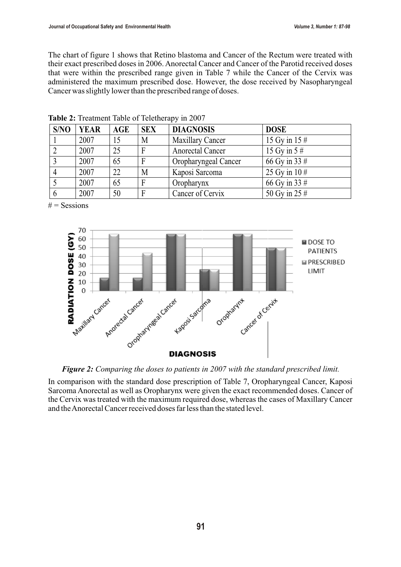The chart of figure 1 shows that Retino blastoma and Cancer of the Rectum were treated with their exact prescribed doses in 2006. Anorectal Cancer and Cancer of the Parotid received doses that were within the prescribed range given in Table 7 while the Cancer of the Cervix was administered the maximum prescribed dose. However, the dose received by Nasopharyngeal Cancer was slightly lower than the prescribed range of doses.

| S/NO | <b>YEAR</b> | <b>AGE</b> | <b>SEX</b>   | <b>DIAGNOSIS</b>        | <b>DOSE</b>      |
|------|-------------|------------|--------------|-------------------------|------------------|
|      | 2007        | 15         | M            | <b>Maxillary Cancer</b> | 15 Gy in $15 \#$ |
|      | 2007        | 25         | $\mathsf{F}$ | <b>Anorectal Cancer</b> | 15 Gy in $5#$    |
|      | 2007        | 65         | F            | Oropharyngeal Cancer    | 66 Gy in 33 #    |
|      | 2007        | 22         | M            | Kaposi Sarcoma          | 25 Gy in $10#$   |
|      | 2007        | 65         | F            | Oropharynx              | 66 Gy in 33 #    |
| 6    | 2007        | 50         | F            | Cancer of Cervix        | 50 Gy in 25 #    |

**Table 2:** Treatment Table of Teletherapy in 2007

 $#$  = Sessions



*Figure 2: Comparing the doses to patients in 2007 with the standard prescribed limit.*

In comparison with the standard dose prescription of Table 7, Oropharyngeal Cancer, Kaposi Sarcoma Anorectal as well as Oropharynx were given the exact recommended doses. Cancer of the Cervix was treated with the maximum required dose, whereas the cases of Maxillary Cancer and the Anorectal Cancer received doses far less than the stated level.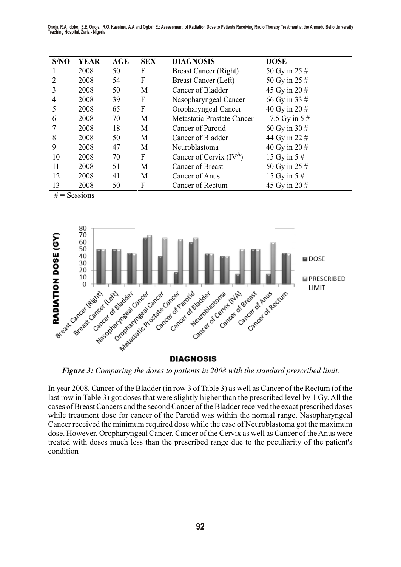|  |  |  |  | Onoja, R.A. Idoko, E.E. Onoja, R.O. Kassimu, A.A and Ogbeh E.: Assessment of Radiation Dose to Patients Receiving Radio Therapy Treatment at the Ahmadu Bello University<br>Teaching Hospital, Zaria - Nigeria |
|--|--|--|--|----------------------------------------------------------------------------------------------------------------------------------------------------------------------------------------------------------------|

| S/NO | <b>YEAR</b> | <b>AGE</b> | <b>SEX</b> | <b>DIAGNOSIS</b>             | <b>DOSE</b>       |
|------|-------------|------------|------------|------------------------------|-------------------|
|      | 2008        | 50         | F          | <b>Breast Cancer (Right)</b> | 50 Gy in 25 #     |
|      | 2008        | 54         | F          | <b>Breast Cancer (Left)</b>  | 50 Gy in 25 $#$   |
| 3    | 2008        | 50         | M          | Cancer of Bladder            | 45 Gy in 20 $#$   |
| 4    | 2008        | 39         | F          | Nasopharyngeal Cancer        | 66 Gy in 33 #     |
| 5    | 2008        | 65         | F          | Oropharyngeal Cancer         | 40 Gy in 20 $#$   |
| 6    | 2008        | 70         | M          | Metastatic Prostate Cancer   | 17.5 Gy in $5 \#$ |
|      | 2008        | 18         | M          | Cancer of Parotid            | 60 Gy in 30 $#$   |
| 8    | 2008        | 50         | M          | Cancer of Bladder            | 44 Gy in 22 #     |
| 9    | 2008        | 47         | M          | Neuroblastoma                | 40 Gy in 20 $#$   |
| 10   | 2008        | 70         | F          | Cancer of Cervix $(IV^A)$    | 15 Gy in $5 \#$   |
| 11   | 2008        | 51         | M          | Cancer of Breast             | 50 Gy in 25 #     |
| 12   | 2008        | 41         | M          | Cancer of Anus               | 15 Gy in $5 \#$   |
| 13   | 2008        | 50         | F          | Cancer of Rectum             | 45 Gy in 20 $#$   |

 $#$  = Sessions



*Figure 3: Comparing the doses to patients in 2008 with the standard prescribed limit.*

In year 2008, Cancer of the Bladder (in row 3 of Table 3) as well as Cancer of the Rectum (of the last row in Table 3) got doses that were slightly higher than the prescribed level by 1 Gy. All the cases of Breast Cancers and the second Cancer of the Bladder received the exact prescribed doses while treatment dose for cancer of the Parotid was within the normal range. Nasopharyngeal Cancer received the minimum required dose while the case of Neuroblastoma got the maximum dose. However, Oropharyngeal Cancer, Cancer of the Cervix as well as Cancer of the Anus were treated with doses much less than the prescribed range due to the peculiarity of the patient's condition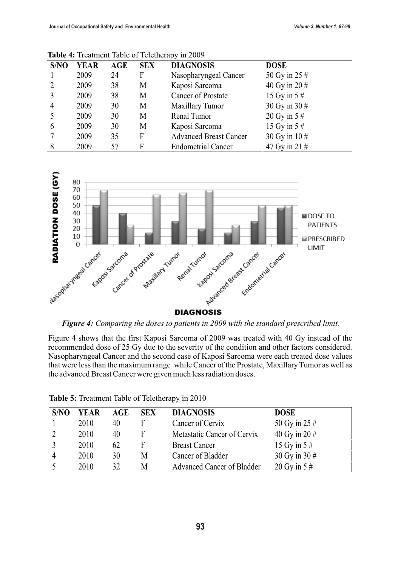| S/NO           | <b>YEAR</b> | <b>AGE</b> | <b>SEX</b> | <b>DIAGNOSIS</b>              | <b>DOSE</b>     |
|----------------|-------------|------------|------------|-------------------------------|-----------------|
|                | 2009        | 24         | F          | Nasopharyngeal Cancer         | 50 Gy in 25 $#$ |
| 2              | 2009        | 38         | M          | Kaposi Sarcoma                | 40 Gy in 20 $#$ |
| $\overline{3}$ | 2009        | 38         | M          | <b>Cancer of Prostate</b>     | 15 Gy in $5#$   |
| $\overline{4}$ | 2009        | 30         | M          | <b>Maxillary Tumor</b>        | 30 Gy in 30 #   |
| 5              | 2009        | 30         | M          | Renal Tumor                   | 20 Gy in $5 \#$ |
| 6              | 2009        | 30         | М          | Kaposi Sarcoma                | 15 Gy in $5#$   |
|                | 2009        | 35         | F          | <b>Advanced Breast Cancer</b> | 30 Gy in 10 #   |
| 8              | 2009        | 57         | F          | <b>Endometrial Cancer</b>     | 47 Gy in 21 $#$ |

**Table 4:** Treatment Table of Teletherapy in 2009



*Figure 4: Comparing the doses to patients in 2009 with the standard prescribed limit.*

Figure 4 shows that the first Kaposi Sarcoma of 2009 was treated with 40 Gy instead of the recommended dose of 25 Gy due to the severity of the condition and other factors considered. Nasopharyngeal Cancer and the second case of Kaposi Sarcoma were each treated dose values that were less than the maximum range while Cancer of the Prostate, Maxillary Tumor as well as the advanced Breast Cancer were given much less radiation doses.

| S/NO     | <b>YEAR</b> | AGE | <b>SEX</b> | <b>DIAGNOSIS</b>            | <b>DOSE</b>     |
|----------|-------------|-----|------------|-----------------------------|-----------------|
|          | 2010        | 40  | F          | Cancer of Cervix            | 50 Gy in 25 $#$ |
|          | 2010        | 40  | F          | Metastatic Cancer of Cervix | 40 Gy in 20 $#$ |
|          | 2010        | 62  | F          | <b>Breast Cancer</b>        | 15 Gy in $5 \#$ |
| $\Delta$ | 2010        | 30  | M          | Cancer of Bladder           | 30 Gy in 30 $#$ |
|          | 2010        | 32  | M          | Advanced Cancer of Bladder  | 20 Gy in $5 \#$ |

**Table 5:** Treatment Table of Teletherapy in 2010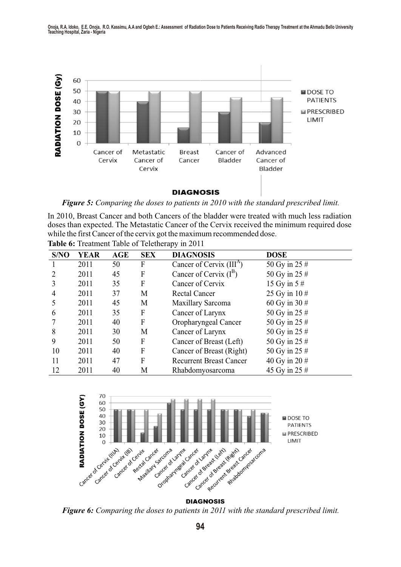Onoja, R.A. Idoko, E.E. Onoja, R.O. Kassimu, A.A and Ogbeh E.: Assessment of Radiation Dose to Patients Receiving Radio Therapy Treatment at the Ahmadu Bello University<br>Teaching Hospital, Zaria - Nigeria



*Figure 5: Comparing the doses to patients in 2010 with the standard prescribed limit.*

In 2010, Breast Cancer and both Cancers of the bladder were treated with much less radiation doses than expected. The Metastatic Cancer of the Cervix received the minimum required dose while the first Cancer of the cervix got the maximum recommended dose. **Table 6:** Treatment Table of Teletherapy in 2011

| S/NO | <b>YEAR</b> | AGE | <b>SEX</b> | <b>DIAGNOSIS</b>                     | <b>DOSE</b>     |
|------|-------------|-----|------------|--------------------------------------|-----------------|
|      | 2011        | 50  | F          | Cancer of Cervix (III <sup>A</sup> ) | 50 Gy in 25 $#$ |
|      | 2011        | 45  | F          | Cancer of Cervix $(I^B)$             | 50 Gy in 25 #   |
|      | 2011        | 35  | F          | Cancer of Cervix                     | 15 Gy in $5#$   |
| 4    | 2011        | 37  | M          | <b>Rectal Cancer</b>                 | 25 Gy in $10#$  |
|      | 2011        | 45  | M          | <b>Maxillary Sarcoma</b>             | 60 Gy in 30 $#$ |
| 6    | 2011        | 35  | F          | Cancer of Larynx                     | 50 Gy in 25 #   |
|      | 2011        | 40  | F          | Oropharyngeal Cancer                 | 50 Gy in 25 #   |
| 8    | 2011        | 30  | M          | Cancer of Larynx                     | 50 Gy in 25 #   |
| 9    | 2011        | 50  | F          | Cancer of Breast (Left)              | 50 Gy in 25 #   |
| 10   | 2011        | 40  | F          | Cancer of Breast (Right)             | 50 Gy in 25 #   |
| 11   | 2011        | 47  | F          | <b>Recurrent Breast Cancer</b>       | 40 Gy in 20 $#$ |
| 12   | 2011        | 40  | M          | Rhabdomyosarcoma                     | 45 Gy in 25 #   |



*Figure 6: Comparing the doses to patients in 2011 with the standard prescribed limit.*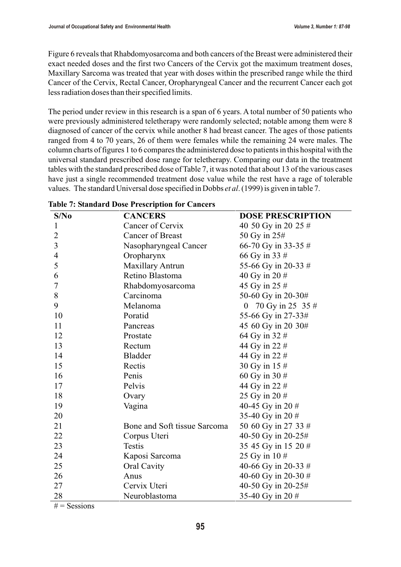Figure 6 reveals that Rhabdomyosarcoma and both cancers of the Breast were administered their exact needed doses and the first two Cancers of the Cervix got the maximum treatment doses, Maxillary Sarcoma was treated that year with doses within the prescribed range while the third Cancer of the Cervix, Rectal Cancer, Oropharyngeal Cancer and the recurrent Cancer each got less radiation doses than their specified limits.

The period under review in this research is a span of 6 years. A total number of 50 patients who were previously administered teletherapy were randomly selected; notable among them were 8 diagnosed of cancer of the cervix while another 8 had breast cancer. The ages of those patients ranged from 4 to 70 years, 26 of them were females while the remaining 24 were males. The column charts of figures 1 to 6 compares the administered dose to patients in this hospital with the universal standard prescribed dose range for teletherapy. Comparing our data in the treatment tables with the standard prescribed dose of Table 7, it was noted that about 13 of the various cases have just a single recommended treatment dose value while the rest have a rage of tolerable values. The standard Universal dose specified in Dobbs *et al*. (1999) is given in table 7.

| S/No           | <b>CANCERS</b>               | <b>DOSE PRESCRIPTION</b>             |
|----------------|------------------------------|--------------------------------------|
| $\mathbf{1}$   | Cancer of Cervix             | 40 50 Gy in 20 25 #                  |
| $\overline{2}$ | <b>Cancer of Breast</b>      | 50 Gy in 25#                         |
| 3              | Nasopharyngeal Cancer        | 66-70 Gy in 33-35 #                  |
| $\overline{4}$ | Oropharynx                   | 66 Gy in 33 #                        |
| 5              | <b>Maxillary Antrun</b>      | 55-66 Gy in 20-33 #                  |
| 6              | Retino Blastoma              | 40 Gy in 20 #                        |
| 7              | Rhabdomyosarcoma             | 45 Gy in 25 #                        |
| 8              | Carcinoma                    | 50-60 Gy in 20-30#                   |
| 9              | Melanoma                     | 70 Gy in 25 35 #<br>$\boldsymbol{0}$ |
| 10             | Poratid                      | 55-66 Gy in 27-33#                   |
| 11             | Pancreas                     | 45 60 Gy in 20 30#                   |
| 12             | Prostate                     | 64 Gy in 32 #                        |
| 13             | Rectum                       | 44 Gy in 22 #                        |
| 14             | <b>Bladder</b>               | 44 Gy in 22 #                        |
| 15             | Rectis                       | 30 Gy in 15 #                        |
| 16             | Penis                        | 60 Gy in 30 #                        |
| 17             | Pelvis                       | 44 Gy in 22 #                        |
| 18             | Ovary                        | 25 Gy in 20 #                        |
| 19             | Vagina                       | 40-45 Gy in 20 #                     |
| 20             |                              | 35-40 Gy in 20 #                     |
| 21             | Bone and Soft tissue Sarcoma | 50 60 Gy in 27 33 #                  |
| 22             | Corpus Uteri                 | 40-50 Gy in 20-25#                   |
| 23             | <b>Testis</b>                | 35 45 Gy in 15 20 #                  |
| 24             | Kaposi Sarcoma               | 25 Gy in 10 #                        |
| 25             | Oral Cavity                  | 40-66 Gy in 20-33 #                  |
| 26             | Anus                         | 40-60 Gy in 20-30 #                  |
| 27             | Cervix Uteri                 | 40-50 Gy in 20-25#                   |
| 28             | Neuroblastoma                | 35-40 Gy in 20 #                     |

#### **Table 7: Standard Dose Prescription for Cancers**

 $#$  = Sessions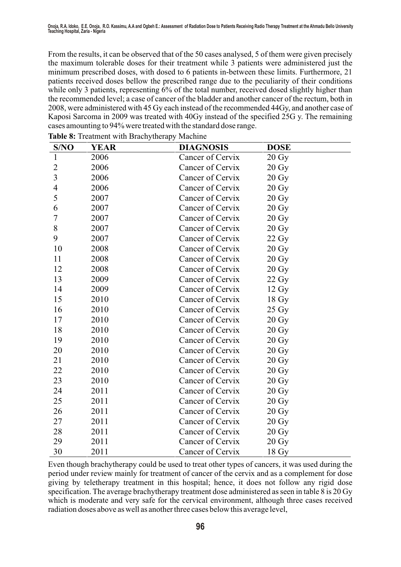From the results, it can be observed that of the 50 cases analysed, 5 of them were given precisely the maximum tolerable doses for their treatment while 3 patients were administered just the minimum prescribed doses, with dosed to 6 patients in-between these limits. Furthermore, 21 patients received doses bellow the prescribed range due to the peculiarity of their conditions while only 3 patients, representing 6% of the total number, received dosed slightly higher than the recommended level; a case of cancer of the bladder and another cancer of the rectum, both in 2008, were administered with 45 Gy each instead of the recommended 44Gy, and another case of Kaposi Sarcoma in 2009 was treated with 40Gy instead of the specified 25G y. The remaining cases amounting to 94% were treated with the standard dose range.

| S/NO           | <b>YEAR</b> | <b>DIAGNOSIS</b> | <b>DOSE</b>       |
|----------------|-------------|------------------|-------------------|
| $\mathbf{1}$   | 2006        | Cancer of Cervix | $20 \text{ Gy}$   |
| $\overline{2}$ | 2006        | Cancer of Cervix | $20 \text{ Gy}$   |
| 3              | 2006        | Cancer of Cervix | $20 \text{ Gy}$   |
| 4              | 2006        | Cancer of Cervix | $20 \text{ Gy}$   |
| 5              | 2007        | Cancer of Cervix | $20 \text{ Gy}$   |
| 6              | 2007        | Cancer of Cervix | $20 \text{ Gy}$   |
| 7              | 2007        | Cancer of Cervix | $20 \text{ Gy}$   |
| 8              | 2007        | Cancer of Cervix | $20 \text{ Gy}$   |
| 9              | 2007        | Cancer of Cervix | $22\ \mathrm{Gy}$ |
| 10             | 2008        | Cancer of Cervix | $20 \text{ Gy}$   |
| 11             | 2008        | Cancer of Cervix | 20 Gy             |
| 12             | 2008        | Cancer of Cervix | $20 \text{ Gy}$   |
| 13             | 2009        | Cancer of Cervix | $22\,\mathrm{Gy}$ |
| 14             | 2009        | Cancer of Cervix | $12 \text{ Gy}$   |
| 15             | 2010        | Cancer of Cervix | 18 Gy             |
| 16             | 2010        | Cancer of Cervix | 25 Gy             |
| 17             | 2010        | Cancer of Cervix | $20 \text{ Gy}$   |
| 18             | 2010        | Cancer of Cervix | $20 \text{ Gy}$   |
| 19             | 2010        | Cancer of Cervix | $20 \text{ Gy}$   |
| 20             | 2010        | Cancer of Cervix | $20 \text{ Gy}$   |
| 21             | 2010        | Cancer of Cervix | $20 \text{ Gy}$   |
| 22             | 2010        | Cancer of Cervix | $20 \text{ Gy}$   |
| 23             | 2010        | Cancer of Cervix | $20 \text{ Gy}$   |
| 24             | 2011        | Cancer of Cervix | $20 \text{ Gy}$   |
| 25             | 2011        | Cancer of Cervix | $20 \text{ Gy}$   |
| 26             | 2011        | Cancer of Cervix | $20 \text{ Gy}$   |
| 27             | 2011        | Cancer of Cervix | $20 \text{ Gy}$   |
| 28             | 2011        | Cancer of Cervix | $20 \text{ Gy}$   |
| 29             | 2011        | Cancer of Cervix | $20 \text{ Gy}$   |
| 30             | 2011        | Cancer of Cervix | 18 <sub>dy</sub>  |

**Table 8:** Treatment with Brachytherapy Machine

Even though brachytherapy could be used to treat other types of cancers, it was used during the period under review mainly for treatment of cancer of the cervix and as a complement for dose giving by teletherapy treatment in this hospital; hence, it does not follow any rigid dose specification. The average brachytherapy treatment dose administered as seen in table 8 is 20 Gy which is moderate and very safe for the cervical environment, although three cases received radiation doses above as well as another three cases below this average level,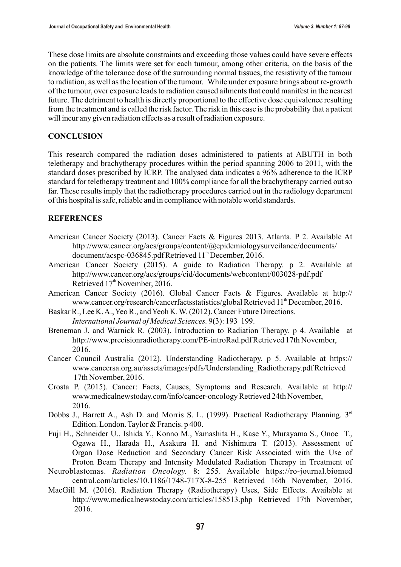These dose limits are absolute constraints and exceeding those values could have severe effects on the patients. The limits were set for each tumour, among other criteria, on the basis of the knowledge of the tolerance dose of the surrounding normal tissues, the resistivity of the tumour to radiation, as well as the location of the tumour. While under exposure brings about re-growth of the tumour, over exposure leads to radiation caused ailments that could manifest in the nearest future. The detriment to health is directly proportional to the effective dose equivalence resulting from the treatment and is called the risk factor. The risk in this case is the probability that a patient will incur any given radiation effects as a result of radiation exposure.

#### **CONCLUSION**

This research compared the radiation doses administered to patients at ABUTH in both teletherapy and brachytherapy procedures within the period spanning 2006 to 2011, with the standard doses prescribed by ICRP. The analysed data indicates a 96% adherence to the ICRP standard for teletherapy treatment and 100% compliance for all the brachytherapy carried out so far. These results imply that the radiotherapy procedures carried out in the radiology department of this hospital is safe, reliable and in compliance with notable world standards.

### **REFERENCES**

- American Cancer Society (2013). Cancer Facts & Figures 2013. Atlanta. P 2. Available At http://www.cancer.org/acs/groups/content/@epidemiologysurveilance/documents/ document/acspc-036845.pdf Retrieved 11<sup>th</sup> December, 2016.
- American Cancer Society (2015). A guide to Radiation Therapy. p 2. Available at http://www.cancer.org/acs/groups/cid/documents/webcontent/003028-pdf.pdf Retrieved  $17<sup>th</sup>$  November, 2016.
- American Cancer Society (2016). Global Cancer Facts & Figures. Available at http:// www.cancer.org/research/cancerfactsstatistics/global Retrieved 11<sup>th</sup> December, 2016.
- Baskar R., Lee K. A., Yeo R., and Yeoh K. W. (2012). Cancer Future Directions. *International Journal of Medical Sciences.* 9(3): 193 199.
- Breneman J. and Warnick R. (2003). Introduction to Radiation Therapy. p 4. Available at http://www.precisionradiotherapy.com/PE-introRad.pdf Retrieved 17th November, 2016.
- Cancer Council Australia (2012). Understanding Radiotherapy. p 5. Available at https:// www.cancersa.org.au/assets/images/pdfs/Understanding\_Radiotherapy.pdf Retrieved 17th November, 2016.
- Crosta P. (2015). Cancer: Facts, Causes, Symptoms and Research. Available at http:// www.medicalnewstoday.com/info/cancer-oncology Retrieved 24th November, 2016.
- Dobbs J., Barrett A., Ash D. and Morris S. L. (1999). Practical Radiotherapy Planning.  $3<sup>rd</sup>$ Edition. London. Taylor & Francis. p 400.
- Fuji H., Schneider U., Ishida Y., Konno M., Yamashita H., Kase Y., Murayama S., Onoe T., Ogawa H., Harada H., Asakura H. and Nishimura T. (2013). Assessment of Organ Dose Reduction and Secondary Cancer Risk Associated with the Use of Proton Beam Therapy and Intensity Modulated Radiation Therapy in Treatment of
- Neuroblastomas. *Radiation Oncology.* 8: 255. Available https://ro-journal.biomed central.com/articles/10.1186/1748-717X-8-255 Retrieved 16th November, 2016.
- MacGill M. (2016). Radiation Therapy (Radiotherapy) Uses, Side Effects. Available at http://www.medicalnewstoday.com/articles/158513.php Retrieved 17th November, 2016.